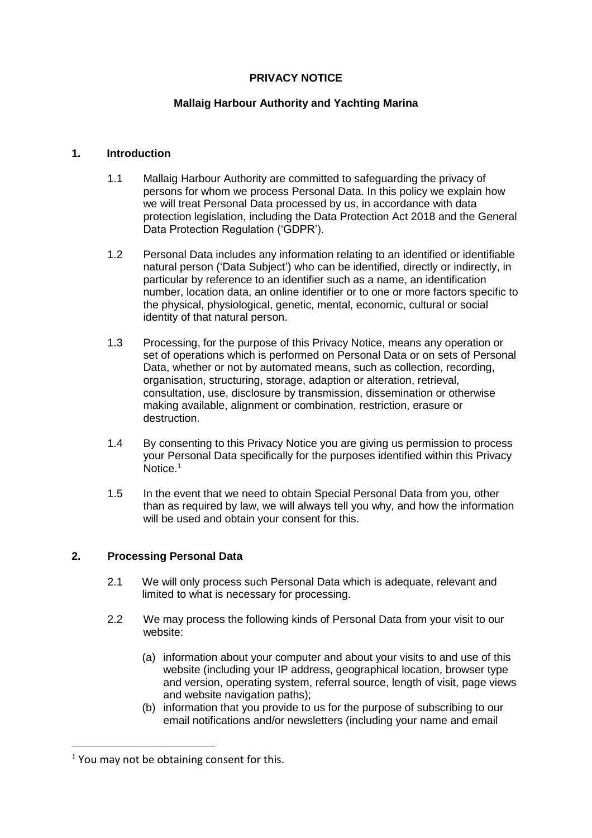# **PRIVACY NOTICE**

## **Mallaig Harbour Authority and Yachting Marina**

## **1. Introduction**

- 1.1 Mallaig Harbour Authority are committed to safeguarding the privacy of persons for whom we process Personal Data. In this policy we explain how we will treat Personal Data processed by us, in accordance with data protection legislation, including the Data Protection Act 2018 and the General Data Protection Regulation ('GDPR').
- 1.2 Personal Data includes any information relating to an identified or identifiable natural person ('Data Subject') who can be identified, directly or indirectly, in particular by reference to an identifier such as a name, an identification number, location data, an online identifier or to one or more factors specific to the physical, physiological, genetic, mental, economic, cultural or social identity of that natural person.
- 1.3 Processing, for the purpose of this Privacy Notice, means any operation or set of operations which is performed on Personal Data or on sets of Personal Data, whether or not by automated means, such as collection, recording, organisation, structuring, storage, adaption or alteration, retrieval, consultation, use, disclosure by transmission, dissemination or otherwise making available, alignment or combination, restriction, erasure or destruction.
- 1.4 By consenting to this Privacy Notice you are giving us permission to process your Personal Data specifically for the purposes identified within this Privacy Notice.<sup>1</sup>
- 1.5 In the event that we need to obtain Special Personal Data from you, other than as required by law, we will always tell you why, and how the information will be used and obtain your consent for this.

## **2. Processing Personal Data**

- 2.1 We will only process such Personal Data which is adequate, relevant and limited to what is necessary for processing.
- 2.2 We may process the following kinds of Personal Data from your visit to our website:
	- (a) information about your computer and about your visits to and use of this website (including your IP address, geographical location, browser type and version, operating system, referral source, length of visit, page views and website navigation paths);
	- (b) information that you provide to us for the purpose of subscribing to our email notifications and/or newsletters (including your name and email

 $\overline{a}$ 

 $1$  You may not be obtaining consent for this.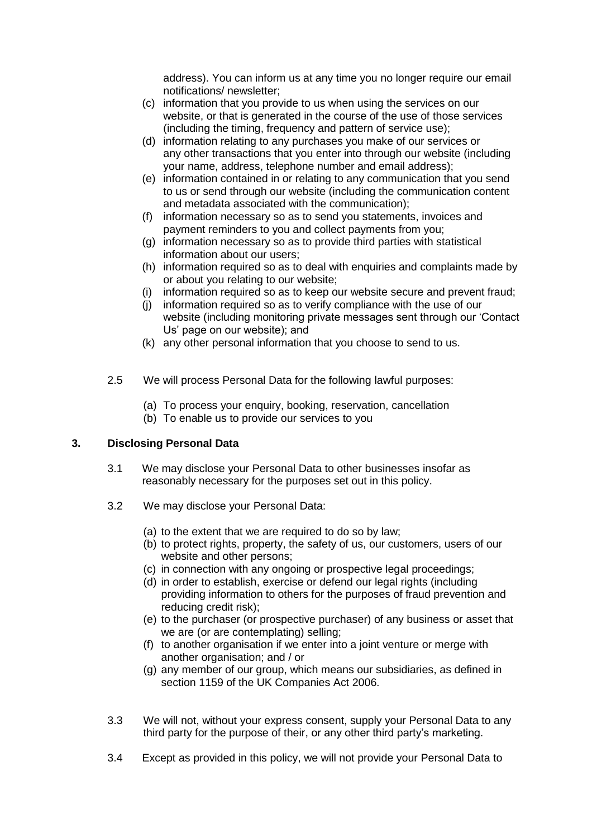address). You can inform us at any time you no longer require our email notifications/ newsletter;

- (c) information that you provide to us when using the services on our website, or that is generated in the course of the use of those services (including the timing, frequency and pattern of service use);
- (d) information relating to any purchases you make of our services or any other transactions that you enter into through our website (including your name, address, telephone number and email address);
- (e) information contained in or relating to any communication that you send to us or send through our website (including the communication content and metadata associated with the communication);
- (f) information necessary so as to send you statements, invoices and payment reminders to you and collect payments from you;
- (g) information necessary so as to provide third parties with statistical information about our users;
- (h) information required so as to deal with enquiries and complaints made by or about you relating to our website;
- (i) information required so as to keep our website secure and prevent fraud;
- (j) information required so as to verify compliance with the use of our website (including monitoring private messages sent through our 'Contact Us' page on our website); and
- (k) any other personal information that you choose to send to us.
- 2.5 We will process Personal Data for the following lawful purposes:
	- (a) To process your enquiry, booking, reservation, cancellation
	- (b) To enable us to provide our services to you

# **3. Disclosing Personal Data**

- 3.1 We may disclose your Personal Data to other businesses insofar as reasonably necessary for the purposes set out in this policy.
- 3.2 We may disclose your Personal Data:
	- (a) to the extent that we are required to do so by law;
	- (b) to protect rights, property, the safety of us, our customers, users of our website and other persons;
	- (c) in connection with any ongoing or prospective legal proceedings;
	- (d) in order to establish, exercise or defend our legal rights (including providing information to others for the purposes of fraud prevention and reducing credit risk);
	- (e) to the purchaser (or prospective purchaser) of any business or asset that we are (or are contemplating) selling;
	- (f) to another organisation if we enter into a joint venture or merge with another organisation; and / or
	- (g) any member of our group, which means our subsidiaries, as defined in section 1159 of the UK Companies Act 2006.
- 3.3 We will not, without your express consent, supply your Personal Data to any third party for the purpose of their, or any other third party's marketing.
- 3.4 Except as provided in this policy, we will not provide your Personal Data to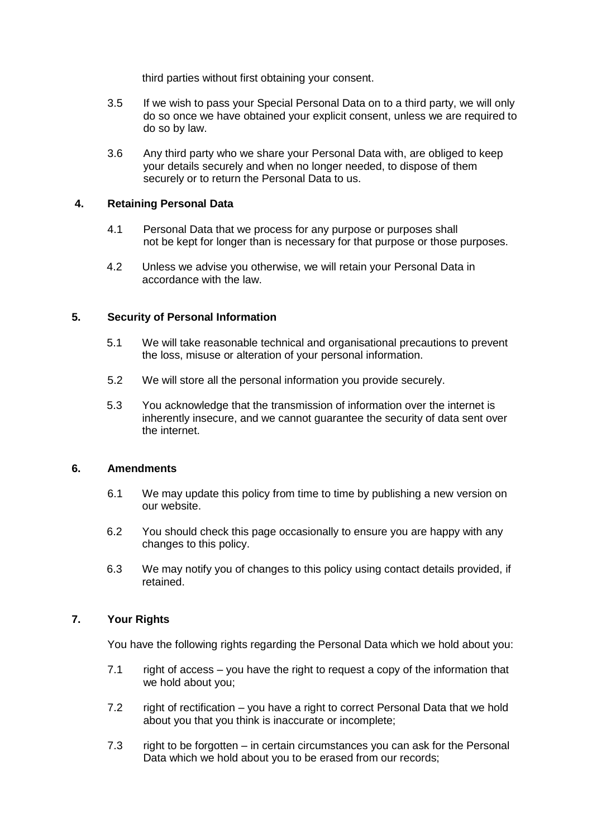third parties without first obtaining your consent.

- 3.5 If we wish to pass your Special Personal Data on to a third party, we will only do so once we have obtained your explicit consent, unless we are required to do so by law.
- 3.6 Any third party who we share your Personal Data with, are obliged to keep your details securely and when no longer needed, to dispose of them securely or to return the Personal Data to us.

## **4. Retaining Personal Data**

- 4.1 Personal Data that we process for any purpose or purposes shall not be kept for longer than is necessary for that purpose or those purposes.
- 4.2 Unless we advise you otherwise, we will retain your Personal Data in accordance with the law.

### **5. Security of Personal Information**

- 5.1 We will take reasonable technical and organisational precautions to prevent the loss, misuse or alteration of your personal information.
- 5.2 We will store all the personal information you provide securely.
- 5.3 You acknowledge that the transmission of information over the internet is inherently insecure, and we cannot guarantee the security of data sent over the internet.

#### **6. Amendments**

- 6.1 We may update this policy from time to time by publishing a new version on our website.
- 6.2 You should check this page occasionally to ensure you are happy with any changes to this policy.
- 6.3 We may notify you of changes to this policy using contact details provided, if retained.

### **7. Your Rights**

You have the following rights regarding the Personal Data which we hold about you:

- 7.1 right of access you have the right to request a copy of the information that we hold about you;
- 7.2 right of rectification you have a right to correct Personal Data that we hold about you that you think is inaccurate or incomplete;
- 7.3 right to be forgotten in certain circumstances you can ask for the Personal Data which we hold about you to be erased from our records;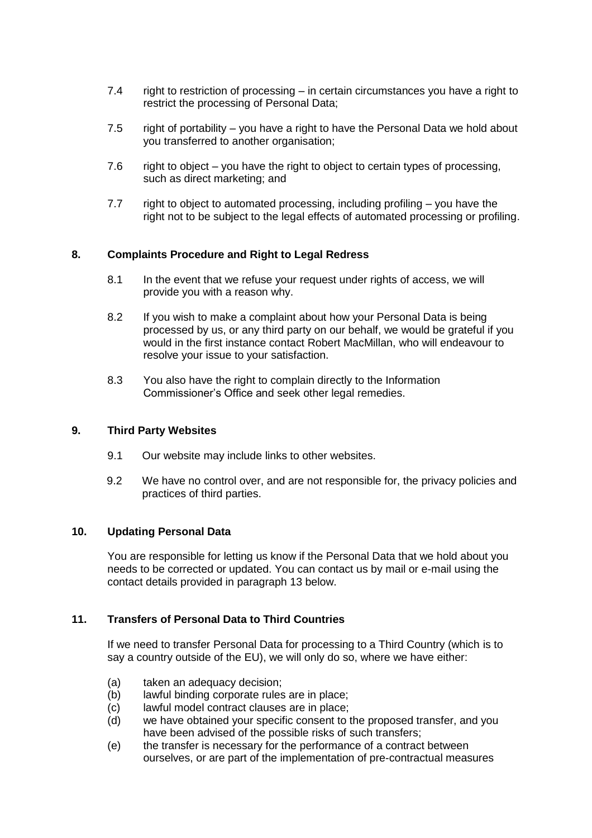- 7.4 right to restriction of processing in certain circumstances you have a right to restrict the processing of Personal Data;
- 7.5 right of portability you have a right to have the Personal Data we hold about you transferred to another organisation;
- 7.6 right to object you have the right to object to certain types of processing, such as direct marketing; and
- 7.7 right to object to automated processing, including profiling you have the right not to be subject to the legal effects of automated processing or profiling.

## **8. Complaints Procedure and Right to Legal Redress**

- 8.1 In the event that we refuse your request under rights of access, we will provide you with a reason why.
- 8.2 If you wish to make a complaint about how your Personal Data is being processed by us, or any third party on our behalf, we would be grateful if you would in the first instance contact Robert MacMillan, who will endeavour to resolve your issue to your satisfaction.
- 8.3 You also have the right to complain directly to the Information Commissioner's Office and seek other legal remedies.

#### **9. Third Party Websites**

- 9.1 Our website may include links to other websites.
- 9.2 We have no control over, and are not responsible for, the privacy policies and practices of third parties.

## **10. Updating Personal Data**

You are responsible for letting us know if the Personal Data that we hold about you needs to be corrected or updated. You can contact us by mail or e-mail using the contact details provided in paragraph 13 below.

# **11. Transfers of Personal Data to Third Countries**

If we need to transfer Personal Data for processing to a Third Country (which is to say a country outside of the EU), we will only do so, where we have either:

- (a) taken an adequacy decision;
- (b) lawful binding corporate rules are in place;
- (c) lawful model contract clauses are in place;
- (d) we have obtained your specific consent to the proposed transfer, and you have been advised of the possible risks of such transfers;
- (e) the transfer is necessary for the performance of a contract between ourselves, or are part of the implementation of pre-contractual measures